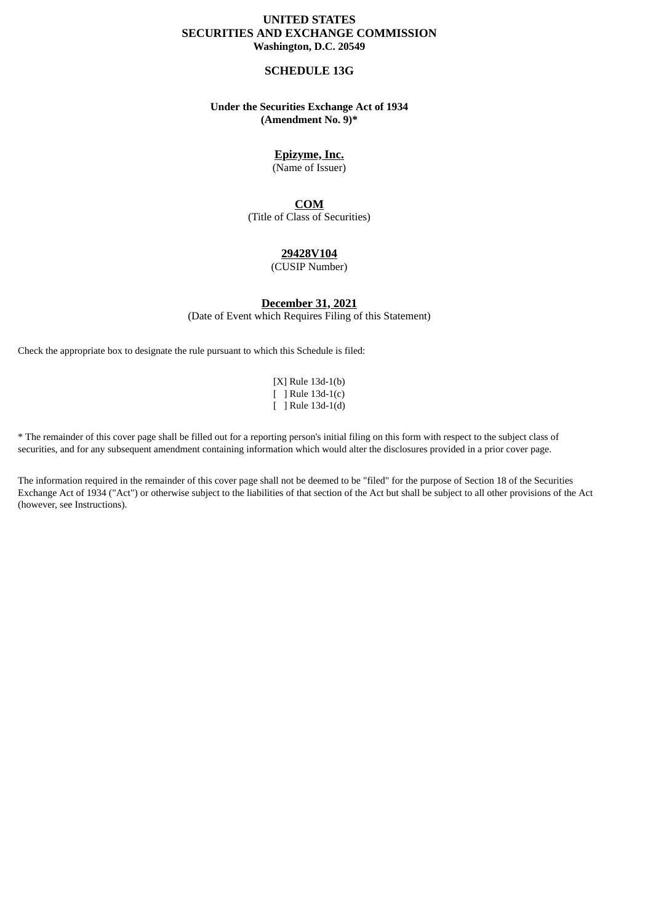### **UNITED STATES SECURITIES AND EXCHANGE COMMISSION Washington, D.C. 20549**

#### **SCHEDULE 13G**

### **Under the Securities Exchange Act of 1934 (Amendment No. 9)\***

# **Epizyme, Inc.**

(Name of Issuer)

### **COM**

(Title of Class of Securities)

#### **29428V104**

(CUSIP Number)

#### **December 31, 2021**

(Date of Event which Requires Filing of this Statement)

Check the appropriate box to designate the rule pursuant to which this Schedule is filed:

[X] Rule 13d-1(b) [ ] Rule 13d-1(c) [ ] Rule 13d-1(d)

\* The remainder of this cover page shall be filled out for a reporting person's initial filing on this form with respect to the subject class of securities, and for any subsequent amendment containing information which would alter the disclosures provided in a prior cover page.

The information required in the remainder of this cover page shall not be deemed to be "filed" for the purpose of Section 18 of the Securities Exchange Act of 1934 ("Act") or otherwise subject to the liabilities of that section of the Act but shall be subject to all other provisions of the Act (however, see Instructions).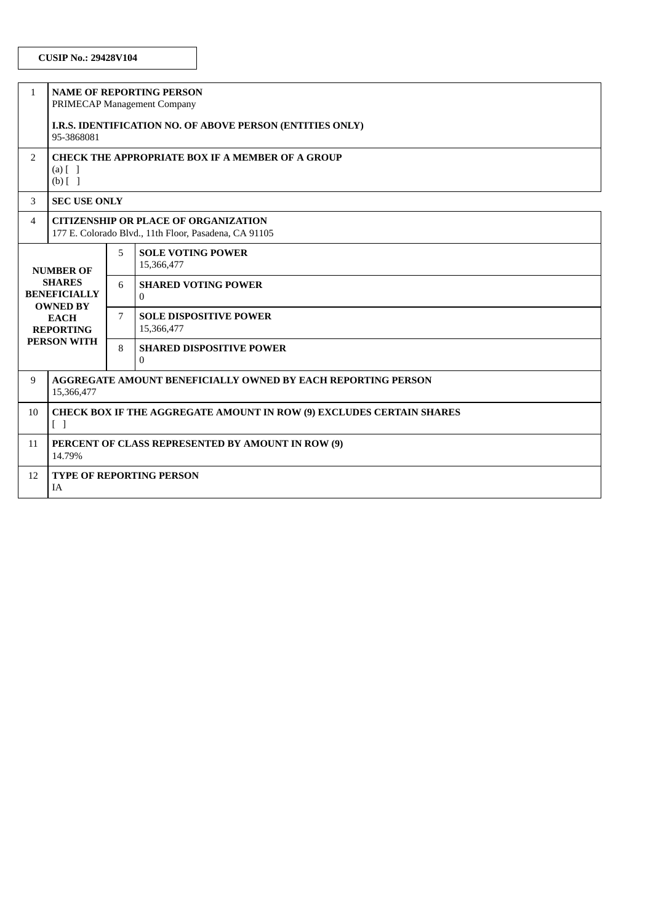| $\mathbf{1}$                                                                                                                         | <b>NAME OF REPORTING PERSON</b><br>PRIMECAP Management Company                                       |   |                                             |  |  |
|--------------------------------------------------------------------------------------------------------------------------------------|------------------------------------------------------------------------------------------------------|---|---------------------------------------------|--|--|
|                                                                                                                                      | I.R.S. IDENTIFICATION NO. OF ABOVE PERSON (ENTITIES ONLY)<br>95-3868081                              |   |                                             |  |  |
| $\overline{2}$                                                                                                                       | CHECK THE APPROPRIATE BOX IF A MEMBER OF A GROUP<br>$(a)$ $\lceil$ $\rceil$<br>$(b)$ []              |   |                                             |  |  |
| 3                                                                                                                                    | <b>SEC USE ONLY</b>                                                                                  |   |                                             |  |  |
| 4                                                                                                                                    | <b>CITIZENSHIP OR PLACE OF ORGANIZATION</b><br>177 E. Colorado Blvd., 11th Floor, Pasadena, CA 91105 |   |                                             |  |  |
| <b>NUMBER OF</b><br><b>SHARES</b><br><b>BENEFICIALLY</b><br><b>OWNED BY</b><br><b>EACH</b><br><b>REPORTING</b><br><b>PERSON WITH</b> |                                                                                                      | 5 | <b>SOLE VOTING POWER</b><br>15,366,477      |  |  |
|                                                                                                                                      |                                                                                                      | 6 | <b>SHARED VOTING POWER</b><br>$\Omega$      |  |  |
|                                                                                                                                      |                                                                                                      | 7 | <b>SOLE DISPOSITIVE POWER</b><br>15,366,477 |  |  |
|                                                                                                                                      |                                                                                                      | 8 | <b>SHARED DISPOSITIVE POWER</b><br>$\Omega$ |  |  |
| 9                                                                                                                                    | <b>AGGREGATE AMOUNT BENEFICIALLY OWNED BY EACH REPORTING PERSON</b><br>15,366,477                    |   |                                             |  |  |
| 10                                                                                                                                   | <b>CHECK BOX IF THE AGGREGATE AMOUNT IN ROW (9) EXCLUDES CERTAIN SHARES</b><br>$\Box$                |   |                                             |  |  |
| 11                                                                                                                                   | PERCENT OF CLASS REPRESENTED BY AMOUNT IN ROW (9)<br>14.79%                                          |   |                                             |  |  |
| 12                                                                                                                                   | <b>TYPE OF REPORTING PERSON</b><br><b>IA</b>                                                         |   |                                             |  |  |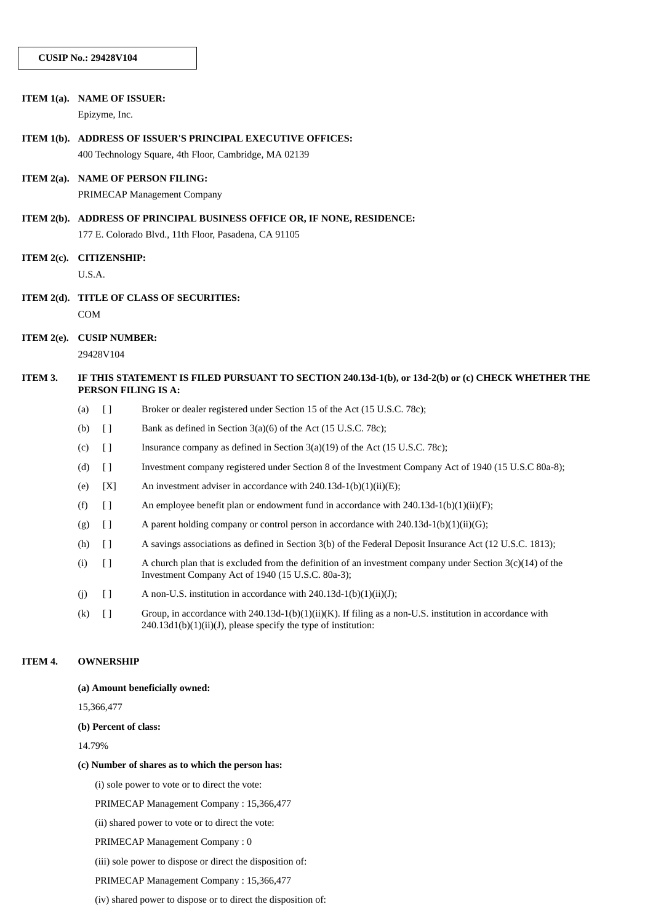|               | ITEM 1(a). NAME OF ISSUER:<br>Epizyme, Inc.                                                                                      |                                                                                                                                                                               |  |  |
|---------------|----------------------------------------------------------------------------------------------------------------------------------|-------------------------------------------------------------------------------------------------------------------------------------------------------------------------------|--|--|
|               | ITEM 1(b). ADDRESS OF ISSUER'S PRINCIPAL EXECUTIVE OFFICES:<br>400 Technology Square, 4th Floor, Cambridge, MA 02139             |                                                                                                                                                                               |  |  |
|               | ITEM 2(a). NAME OF PERSON FILING:<br>PRIMECAP Management Company                                                                 |                                                                                                                                                                               |  |  |
|               | ITEM 2(b). ADDRESS OF PRINCIPAL BUSINESS OFFICE OR, IF NONE, RESIDENCE:<br>177 E. Colorado Blvd., 11th Floor, Pasadena, CA 91105 |                                                                                                                                                                               |  |  |
| ITEM $2(c)$ . | <b>CITIZENSHIP:</b><br>U.S.A.                                                                                                    |                                                                                                                                                                               |  |  |
| ITEM $2(d)$ . | TITLE OF CLASS OF SECURITIES:<br>COM                                                                                             |                                                                                                                                                                               |  |  |
| ITEM $2(e)$ . | <b>CUSIP NUMBER:</b><br>29428V104                                                                                                |                                                                                                                                                                               |  |  |
| ITEM 3.       | IF THIS STATEMENT IS FILED PURSUANT TO SECTION 240.13d-1(b), or 13d-2(b) or (c) CHECK WHETHER THE<br>PERSON FILING IS A:         |                                                                                                                                                                               |  |  |
|               | $\begin{array}{c} \square \end{array}$<br>(a)                                                                                    | Broker or dealer registered under Section 15 of the Act (15 U.S.C. 78c);                                                                                                      |  |  |
|               | $[ \ ]$<br>(b)                                                                                                                   | Bank as defined in Section 3(a)(6) of the Act (15 U.S.C. 78c);                                                                                                                |  |  |
|               | $\lceil$<br>(c)                                                                                                                  | Insurance company as defined in Section $3(a)(19)$ of the Act $(15 \text{ U.S.C. } 78c)$ ;                                                                                    |  |  |
|               | $[ \ ]$<br>(d)                                                                                                                   | Investment company registered under Section 8 of the Investment Company Act of 1940 (15 U.S.C 80a-8);                                                                         |  |  |
|               | [X]<br>(e)                                                                                                                       | An investment adviser in accordance with $240.13d-1(b)(1)(ii)(E)$ ;                                                                                                           |  |  |
|               | (f)<br>$[ \ ]$                                                                                                                   | An employee benefit plan or endowment fund in accordance with 240.13d-1(b)(1)(ii)(F);                                                                                         |  |  |
|               | $[ \ ]$<br>(g)                                                                                                                   | A parent holding company or control person in accordance with 240.13d-1(b)(1)(ii)(G);                                                                                         |  |  |
|               | $[ \ ]$<br>(h)                                                                                                                   | A savings associations as defined in Section 3(b) of the Federal Deposit Insurance Act (12 U.S.C. 1813);                                                                      |  |  |
|               | $[ \ ]$<br>(i)                                                                                                                   | A church plan that is excluded from the definition of an investment company under Section $3(c)(14)$ of the<br>Investment Company Act of 1940 (15 U.S.C. 80a-3);              |  |  |
|               | $[ \ ]$<br>(j)                                                                                                                   | A non-U.S. institution in accordance with 240.13d-1(b)(1)(ii)(J);                                                                                                             |  |  |
|               | (k)<br>$[ \ ]$                                                                                                                   | Group, in accordance with 240.13d-1(b)(1)(ii)(K). If filing as a non-U.S. institution in accordance with<br>$240.13d1(b)(1)(ii)(J)$ , please specify the type of institution: |  |  |
| ITEM 4.       | <b>OWNERSHIP</b>                                                                                                                 |                                                                                                                                                                               |  |  |
|               | (a) Amount beneficially owned:                                                                                                   |                                                                                                                                                                               |  |  |

15,366,477

#### **(b) Percent of class:**

14.79%

#### **(c) Number of shares as to which the person has:**

(i) sole power to vote or to direct the vote:

PRIMECAP Management Company : 15,366,477

(ii) shared power to vote or to direct the vote:

PRIMECAP Management Company : 0

(iii) sole power to dispose or direct the disposition of:

PRIMECAP Management Company : 15,366,477

(iv) shared power to dispose or to direct the disposition of: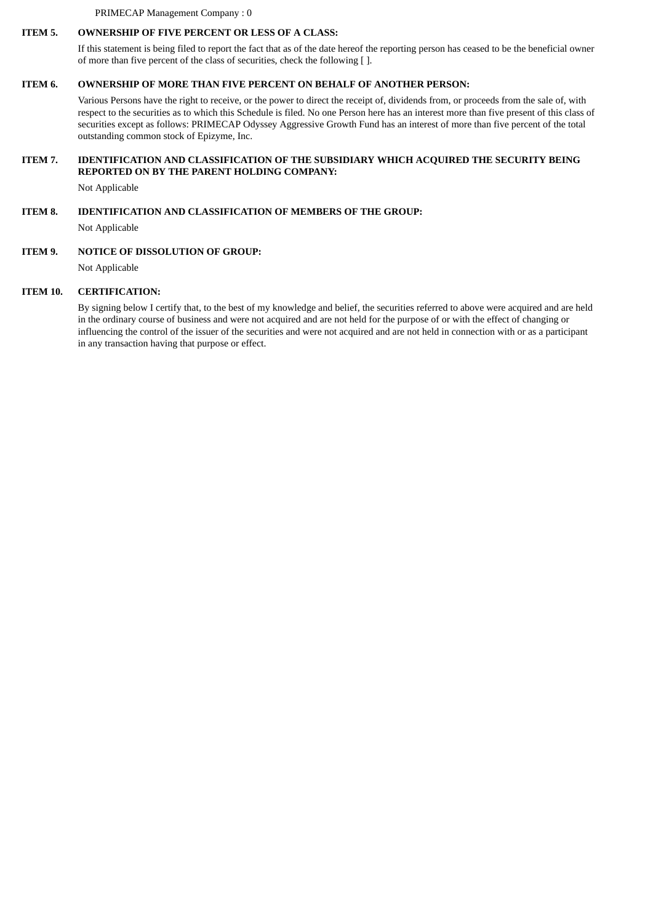PRIMECAP Management Company : 0

### **ITEM 5. OWNERSHIP OF FIVE PERCENT OR LESS OF A CLASS:**

If this statement is being filed to report the fact that as of the date hereof the reporting person has ceased to be the beneficial owner of more than five percent of the class of securities, check the following [ ].

## **ITEM 6. OWNERSHIP OF MORE THAN FIVE PERCENT ON BEHALF OF ANOTHER PERSON:**

Various Persons have the right to receive, or the power to direct the receipt of, dividends from, or proceeds from the sale of, with respect to the securities as to which this Schedule is filed. No one Person here has an interest more than five present of this class of securities except as follows: PRIMECAP Odyssey Aggressive Growth Fund has an interest of more than five percent of the total outstanding common stock of Epizyme, Inc.

## **ITEM 7. IDENTIFICATION AND CLASSIFICATION OF THE SUBSIDIARY WHICH ACQUIRED THE SECURITY BEING REPORTED ON BY THE PARENT HOLDING COMPANY:**

Not Applicable

# **ITEM 8. IDENTIFICATION AND CLASSIFICATION OF MEMBERS OF THE GROUP:**

Not Applicable

## **ITEM 9. NOTICE OF DISSOLUTION OF GROUP:**

Not Applicable

## **ITEM 10. CERTIFICATION:**

By signing below I certify that, to the best of my knowledge and belief, the securities referred to above were acquired and are held in the ordinary course of business and were not acquired and are not held for the purpose of or with the effect of changing or influencing the control of the issuer of the securities and were not acquired and are not held in connection with or as a participant in any transaction having that purpose or effect.